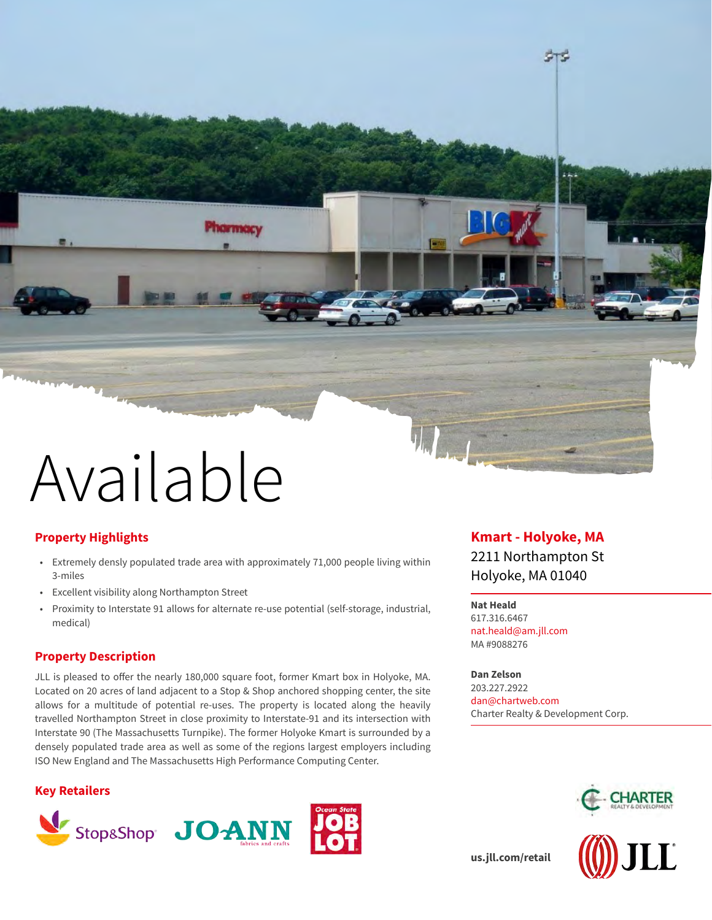

# **Property Highlights**

• Extremely densly populated trade area with approximately 71,000 people living within 3-miles

Phormocy

- Excellent visibility along Northampton Street
- Proximity to Interstate 91 allows for alternate re-use potential (self-storage, industrial, medical)

# **Property Description**

JLL is pleased to offer the nearly 180,000 square foot, former Kmart box in Holyoke, MA. Located on 20 acres of land adjacent to a Stop & Shop anchored shopping center, the site allows for a multitude of potential re-uses. The property is located along the heavily travelled Northampton Street in close proximity to Interstate-91 and its intersection with Interstate 90 (The Massachusetts Turnpike). The former Holyoke Kmart is surrounded by a densely populated trade area as well as some of the regions largest employers including ISO New England and The Massachusetts High Performance Computing Center.

## **Key Retailers**



# **Kmart - Holyoke, MA**

STS.

2211 Northampton St Holyoke, MA 01040

### **Nat Heald**

617.316.6467 nat.heald@am.jll.com MA #9088276

**Dan Zelson** 203.227.2922 dan@chartweb.com Charter Realty & Development Corp.



**[us.jll.com/retail](https://www.us.jll.com/en/industries/retail)**